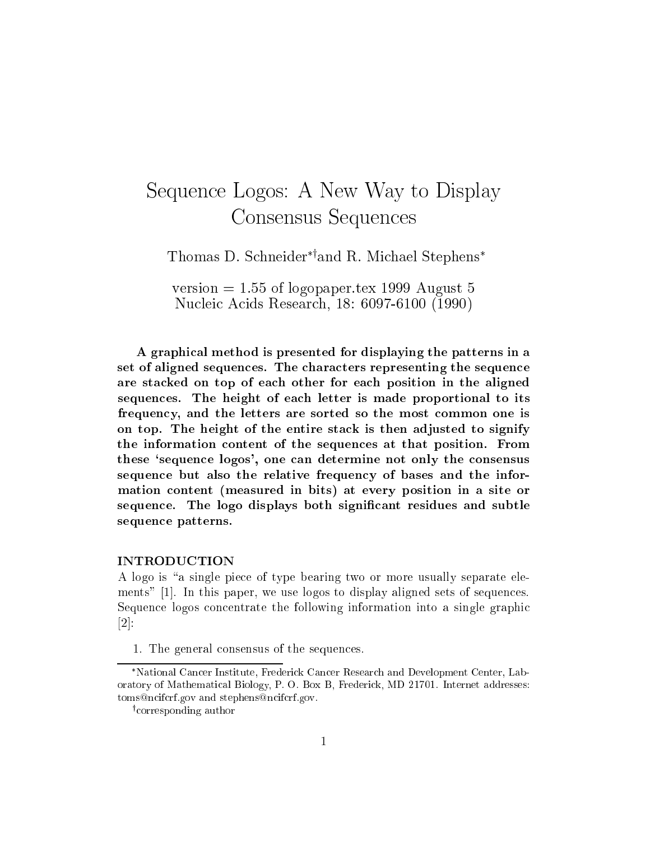# Sequence Logos: A New Way to Display Consensus Sequences

Thomas D. Schneidery and R. Michael Stephens

version  $= 1.55$  of logopaper.tex 1999 August 5 Nucleic Acids Research, 18: 6097-6100 (1990)

A graphical method is presented for displaying the patterns in a set of aligned sequences. The characters representing the sequence are stacked on top of each other for each position in the aligned sequences. The height of each letter is made proportional to its frequency, and the letters are sorted so the most common one is on top. The height of the entire stack is then adjusted to signify the information content of the sequences at that position. From these `sequence logos', one can determine not only the consensus sequence but also the relative frequency of bases and the information content (measured in bits) at every position in a site or sequence. The logo displays both signicant residues and subtle sequence patterns.

#### **INTRODUCTION**

A logo is "a single piece of type bearing two or more usually separate elements" [1]. In this paper, we use logos to display aligned sets of sequences. Sequence logos concentrate the following information into a single graphic [2]:

1. The general consensus of the sequences.

National Cancer Institute, Frederick Cancer Research and Development Center, Laboratory of Mathematical Biology, P. O. Box B, Frederick, MD 21701. Internet addresses: toms@ncifcrf.gov and stephens@ncifcrf.gov.

<sup>y</sup> corresponding author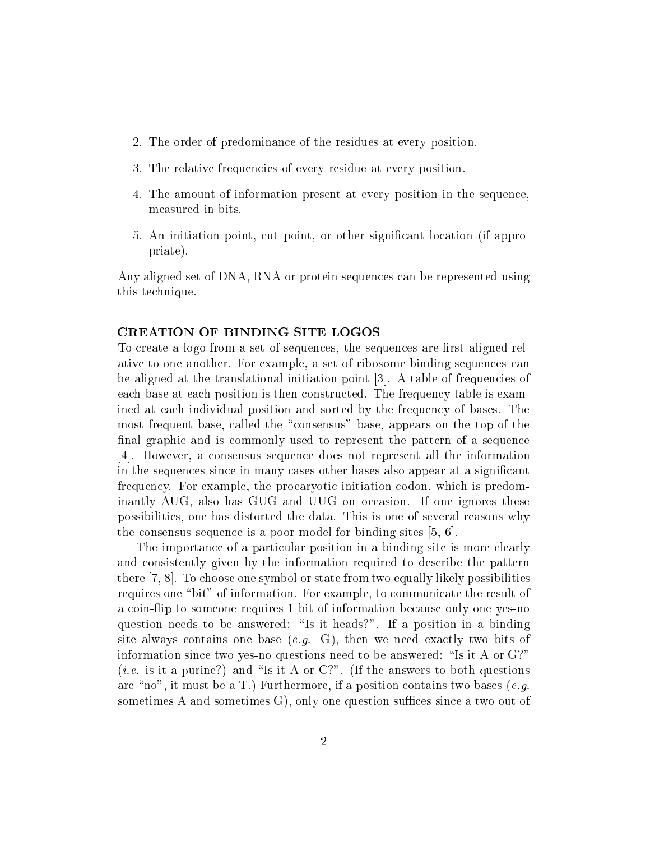- 2. The order of predominance of the residues at every position.
- 3. The relative frequencies of every residue at every position.
- 4. The amount of information present at every position in the sequence, measured in bits.
- 5. An initiation point, cut point, or other signicant location (if appropriate).

Any aligned set of DNA, RNA or protein sequences can be represented using this technique.

### CREATION OF BINDING SITE LOGOS

To create a logo from a set of sequences, the sequences are first aligned relative to one another. For example, a set of ribosome binding sequences can be aligned at the translational initiation point [3]. A table of frequencies of each base at each position is then constructed. The frequency table is examined at each individual position and sorted by the frequency of bases. The most frequent base, called the "consensus" base, appears on the top of the final graphic and is commonly used to represent the pattern of a sequence [4]. However, a consensus sequence does not represent all the information in the sequences since in many cases other bases also appear at a signicant frequency. For example, the procaryotic initiation codon, which is predominantly AUG, also has GUG and UUG on occasion. If one ignores these possibilities, one has distorted the data. This is one of several reasons why the consensus sequence is a poor model for binding sites [5, 6].

The importance of a particular position in a binding site is more clearly and consistently given by the information required to describe the pattern there [7, 8]. To choose one symbol or state from two equally likely possibilities requires one "bit" of information. For example, to communicate the result of a coin-flip to someone requires 1 bit of information because only one yes-no question needs to be answered: "Is it heads?". If a position in a binding site always contains one base  $(e.g. G)$ , then we need exactly two bits of information since two yes-no questions need to be answered: "Is it A or  $G$ ?" (*i.e.* is it a purine?) and "Is it A or C?". (If the answers to both questions are "no", it must be a T.) Furthermore, if a position contains two bases (e.g. sometimes A and sometimes  $G$ , only one question suffices since a two out of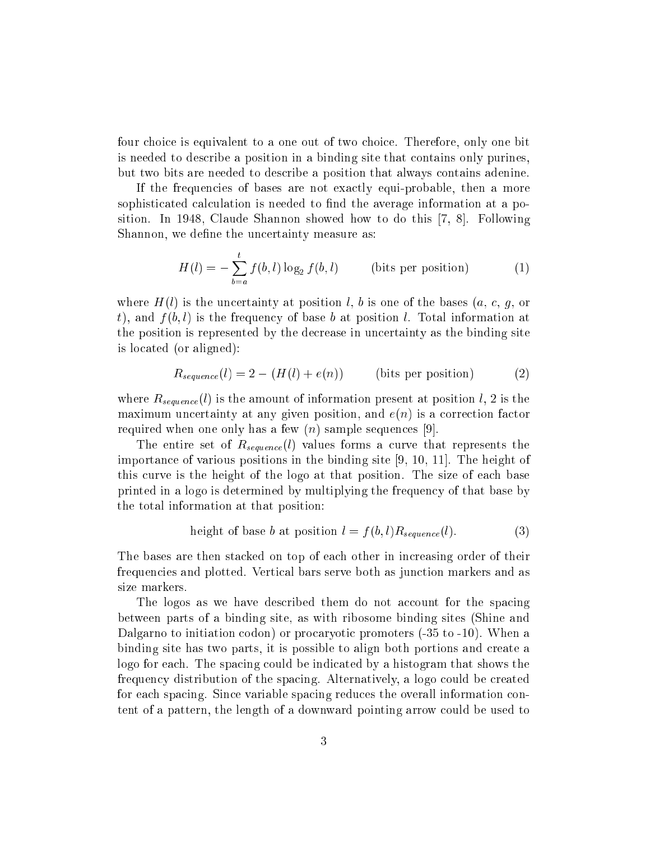four choice is equivalent to a one out of two choice. Therefore, only one bit is needed to describe a position in a binding site that contains only purines, but two bits are needed to describe a position that always contains adenine.

If the frequencies of bases are not exactly equi-probable, then a more sophisticated calculation is needed to find the average information at a position. In 1948, Claude Shannon showed how to do this [7, 8]. Following Shannon, we define the uncertainty measure as:

$$
H(l) = -\sum_{b=a}^{t} f(b, l) \log_2 f(b, l)
$$
 (bits per position) (1)

where  $H(l)$  is the uncertainty at position l, b is one of the bases  $(a, c, g, or)$ t), and  $f(b, l)$  is the frequency of base b at position l. Total information at the position is represented by the decrease in uncertainty as the binding site is located (or aligned):

$$
R_{sequence}(l) = 2 - (H(l) + e(n))
$$
 (bits per position) (2)

where  $R_{sequence}(l)$  is the amount of information present at position l, 2 is the maximum uncertainty at any given position, and  $e(n)$  is a correction factor required when one only has a few  $(n)$  sample sequences [9].

The entire set of  $R_{sequence}(l)$  values forms a curve that represents the importance of various positions in the binding site [9, 10, 11]. The height of this curve is the height of the logo at that position. The size of each base printed in a logo is determined by multiplying the frequency of that base by the total information at that position:

height of base *b* at position 
$$
l = f(b, l)R_{sequence}(l)
$$
. (3)

The bases are then stacked on top of each other in increasing order of their frequencies and plotted. Vertical bars serve both as junction markers and as size markers.

The logos as we have described them do not account for the spacing between parts of a binding site, as with ribosome binding sites (Shine and Dalgarno to initiation codon) or procaryotic promoters (-35 to -10). When a binding site has two parts, it is possible to align both portions and create a logo for each. The spacing could be indicated by a histogram that shows the frequency distribution of the spacing. Alternatively, a logo could be created for each spacing. Since variable spacing reduces the overall information content of a pattern, the length of a downward pointing arrow could be used to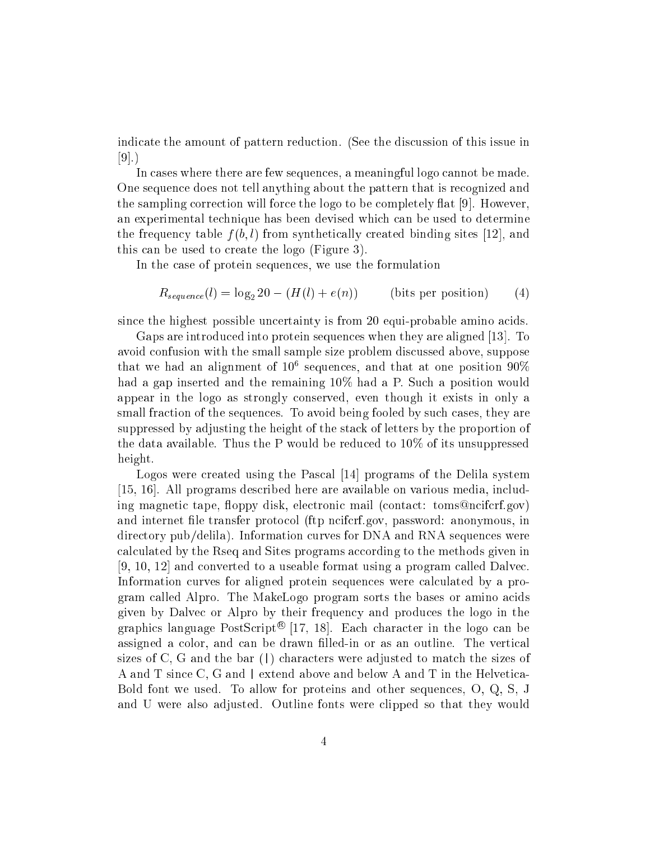indicate the amount of pattern reduction. (See the discussion of this issue in  $|9|$ .

In cases where there are few sequences, a meaningful logo cannot be made. One sequence does not tell anything about the pattern that is recognized and the sampling correction will force the logo to be completely flat  $[9]$ . However, an experimental technique has been devised which can be used to determine the frequency table  $f(b, l)$  from synthetically created binding sites [12], and this can be used to create the logo (Figure 3).

In the case of protein sequences, we use the formulation

$$
R_{sequence}(l) = \log_2 20 - (H(l) + e(n))
$$
 (bits per position) (4)

since the highest possible uncertainty is from 20 equi-probable amino acids.

Gaps are introduced into protein sequences when they are aligned [13]. To avoid confusion with the small sample size problem discussed above, suppose  $\frac{1}{100}$  and an anginment of 10 sequences, and that at one position 90% had a gap inserted and the remaining 10% had a P. Such a position would appear in the logo as strongly conserved, even though it exists in only a small fraction of the sequences. To avoid being fooled by such cases, they are suppressed by adjusting the height of the stack of letters by the proportion of the data available. Thus the P would be reduced to 10% of its unsuppressed height.

Logos were created using the Pascal [14] programs of the Delila system [15, 16]. All programs described here are available on various media, including magnetic tape, floppy disk, electronic mail (contact: toms@ncifcrf.gov) and internet file transfer protocol (ftp nciferf.gov, password: anonymous, in directory pub/delila). Information curves for DNA and RNA sequences were calculated by the Rseq and Sites programs according to the methods given in [9, 10, 12] and converted to a useable format using a program called Dalvec. Information curves for aligned protein sequences were calculated by a program called Alpro. The MakeLogo program sorts the bases or amino acids given by Dalvec or Alpro by their frequency and produces the logo in the graphics language PostScript $\leq$  [17, 18]. Each character in the logo can be assigned a color, and can be drawn lled-in or as an outline. The vertical sizes of C, G and the bar (|) characters were adjusted to match the sizes of A and T since C, G and <sup>|</sup> extend above and below A and T in the Helvetica-Bold font we used. To allow for proteins and other sequences, O, Q, S, J and U were also adjusted. Outline fonts were clipped so that they would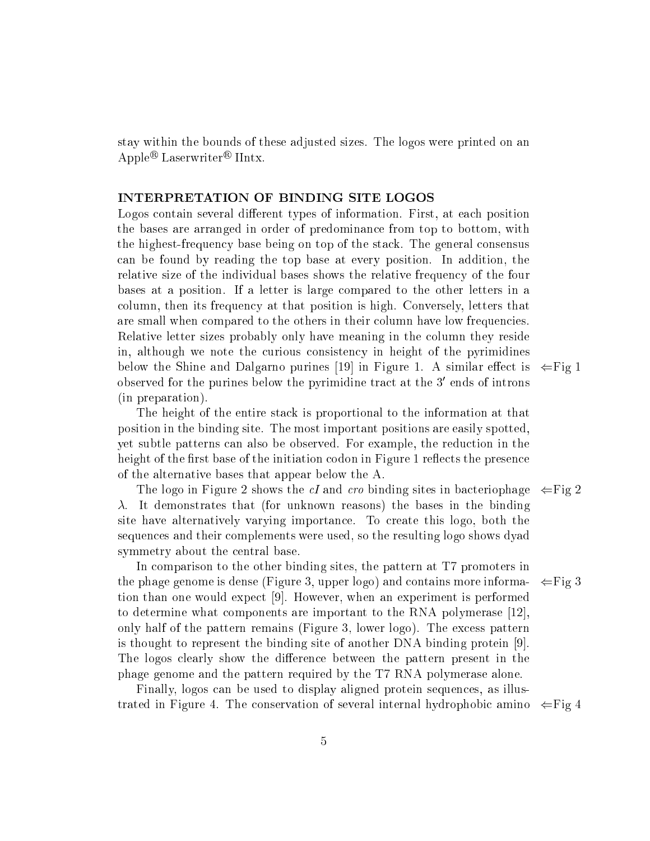stay within the bounds of these adjusted sizes. The logos were printed on an  $\mathrm{Apple}^\omega$  Laserwriter $^\omega$  Hintx.

### INTERPRETATION OF BINDING SITE LOGOS

Logos contain several different types of information. First, at each position the bases are arranged in order of predominance from top to bottom, with the highest-frequency base being on top of the stack. The general consensus can be found by reading the top base at every position. In addition, the relative size of the individual bases shows the relative frequency of the four bases at a position. If a letter is large compared to the other letters in a column, then its frequency at that position is high. Conversely, letters that are small when compared to the others in their column have low frequencies. Relative letter sizes probably only have meaning in the column they reside in, although we note the curious consistency in height of the pyrimidines below the Shine and Dalgarno purines [19] in Figure 1. A similar effect is  $\Leftarrow$  Fig 1 observed for the purines below the pyrimidine tract at the 3–ends of introns (in preparation).

The height of the entire stack is proportional to the information at that position in the binding site. The most important positions are easily spotted, yet subtle patterns can also be observed. For example, the reduction in the height of the first base of the initiation codon in Figure 1 reflects the presence of the alternative bases that appear below the A.

The logo in Figure 2 shows the cI and cro binding sites in bacteriophage  $\Leftarrow$  Fig 2  $\lambda$ . It demonstrates that (for unknown reasons) the bases in the binding site have alternatively varying importance. To create this logo, both the sequences and their complements were used, so the resulting logo shows dyad symmetry about the central base.

In comparison to the other binding sites, the pattern at T7 promoters in the phage genome is dense (Figure 3, upper logo) and contains more informa-  $\Leftarrow$  Fig 3 tion than one would expect [9]. However, when an experiment is performed to determine what components are important to the RNA polymerase [12], only half of the pattern remains (Figure 3, lower logo). The excess pattern is thought to represent the binding site of another DNA binding protein [9]. The logos clearly show the difference between the pattern present in the phage genome and the pattern required by the T7 RNA polymerase alone.

Finally, logos can be used to display aligned protein sequences, as illustrated in Figure 4. The conservation of several internal hydrophobic amino  $\Leftarrow$  Fig 4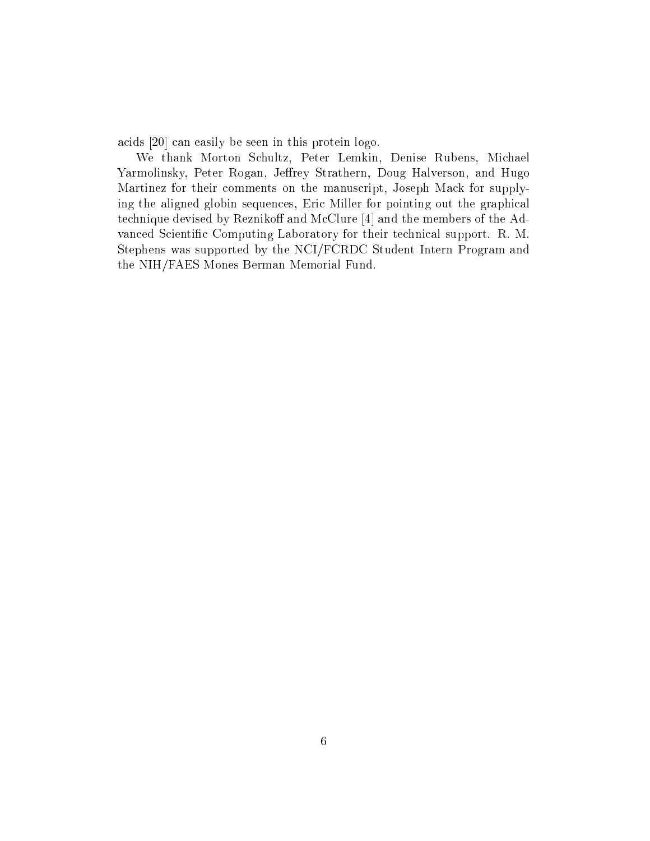acids [20] can easily be seen in this protein logo.

We thank Morton Schultz, Peter Lemkin, Denise Rubens, Michael Yarmolinsky, Peter Rogan, Jeffrey Strathern, Doug Halverson, and Hugo Martinez for their comments on the manuscript, Joseph Mack for supplying the aligned globin sequences, Eric Miller for pointing out the graphical technique devised by Reznikoff and McClure  $[4]$  and the members of the Advanced Scientific Computing Laboratory for their technical support. R. M. Stephens was supported by the NCI/FCRDC Student Intern Program and the NIH/FAES Mones Berman Memorial Fund.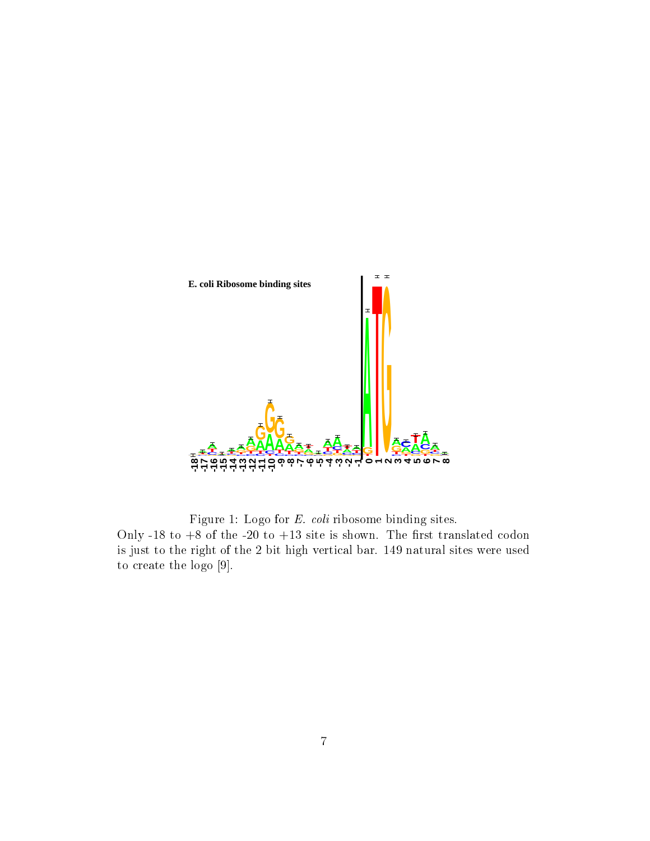

Figure 1: Logo for E. coli ribosome binding sites.

Only -18 to  $+8$  of the -20 to  $+13$  site is shown. The first translated codon is just to the right of the 2 bit high vertical bar. 149 natural sites were used to create the logo [9].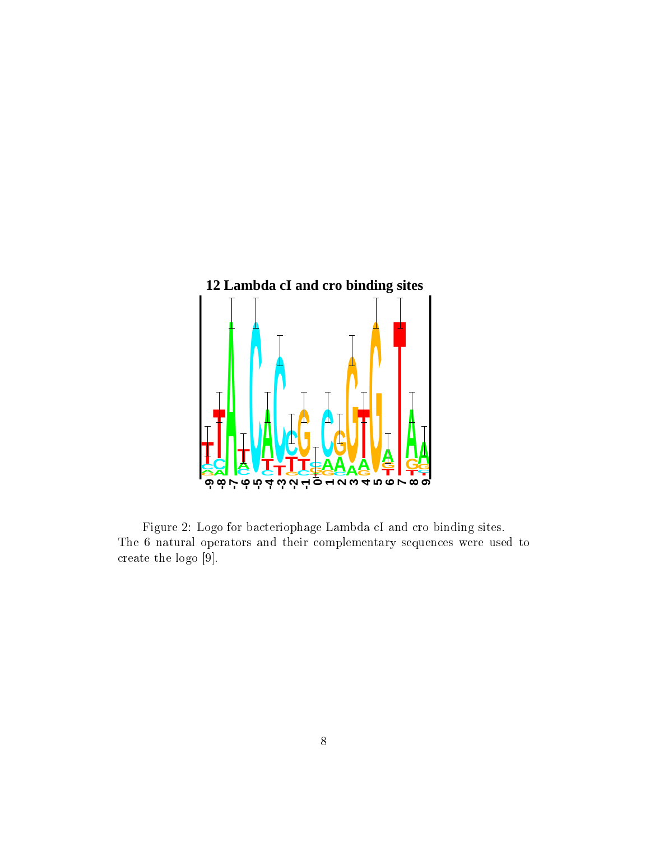

Figure 2: Logo for bacteriophage Lambda cI and cro binding sites. The 6 natural operators and their complementary sequences were used to create the logo [9].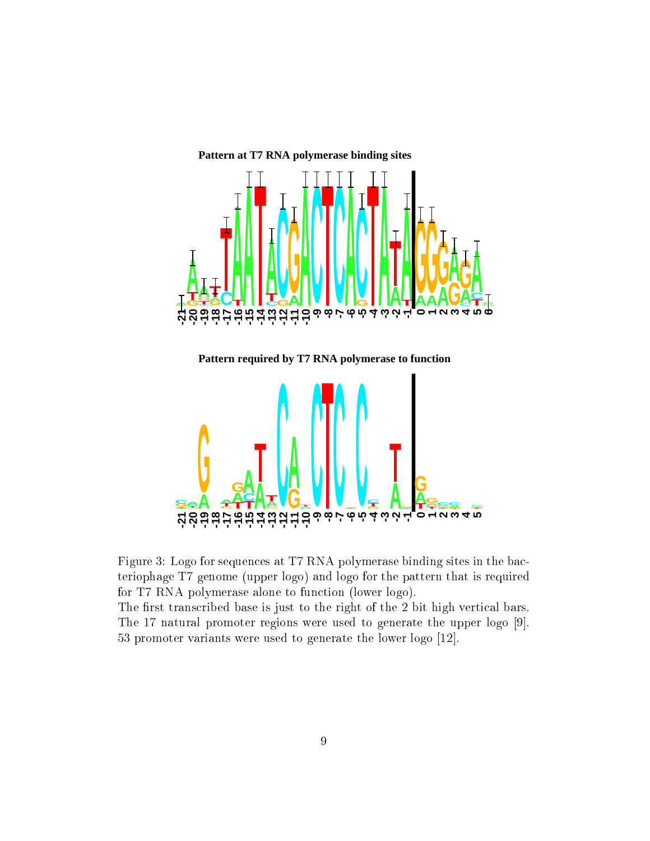

**Pattern required by T7 RNA polymerase to function**



Figure 3: Logo for sequences at T7 RNA polymerase binding sites in the bacteriophage T7 genome (upper logo) and logo for the pattern that is required for T7 RNA polymerase alone to function (lower logo).

The first transcribed base is just to the right of the 2 bit high vertical bars. The 17 natural promoter regions were used to generate the upper logo [9]. 53 promoter variants were used to generate the lower logo [12].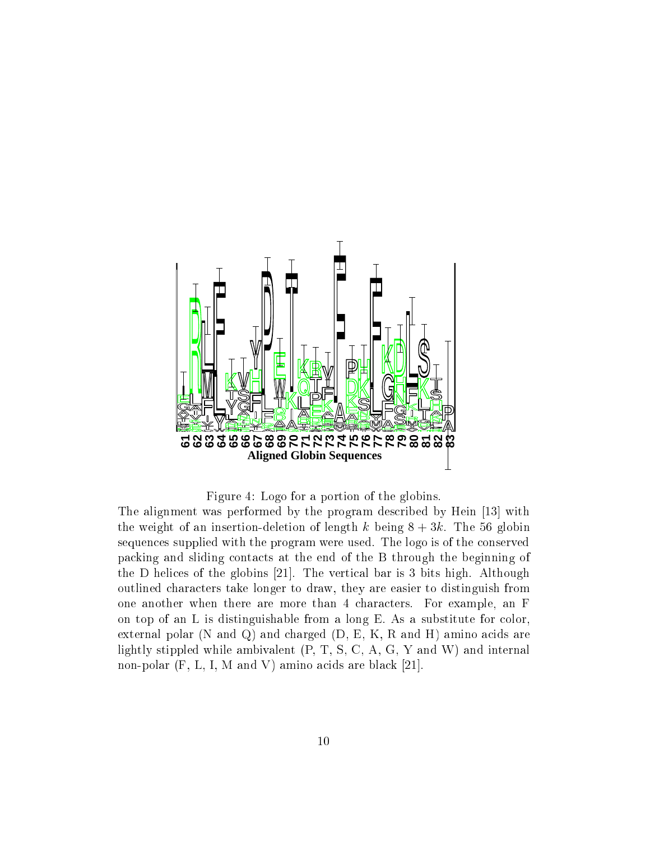

Figure 4: Logo for a portion of the globins.

The alignment was performed by the program described by Hein [13] with the weight of an insertion-deletion of length k being  $8 + 3k$ . The 56 globin sequences supplied with the program were used. The logo is of the conserved packing and sliding contacts at the end of the B through the beginning of the D helices of the globins [21]. The vertical bar is 3 bits high. Although outlined characters take longer to draw, they are easier to distinguish from one another when there are more than 4 characters. For example, an F on top of an L is distinguishable from a long E. As a substitute for color, external polar (N and Q) and charged (D, E, K, R and H) amino acids are lightly stippled while ambivalent (P, T, S, C, A, G, Y and W) and internal non-polar (F, L, I, M and V) amino acids are black [21].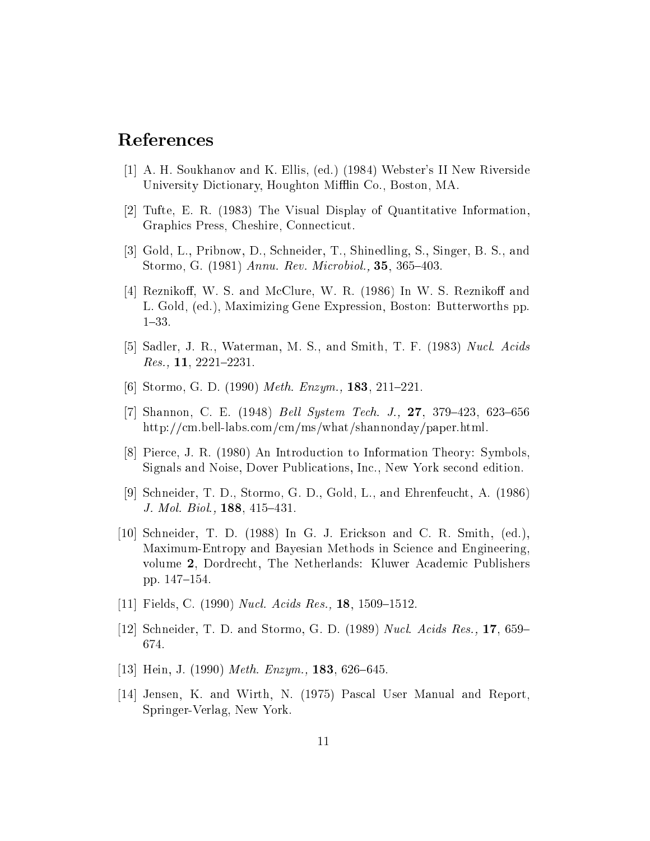## References

- [1] A. H. Soukhanov and K. Ellis, (ed.) (1984) Webster's II New Riverside University Dictionary, Houghton Mifflin Co., Boston, MA.
- [2] Tufte, E. R. (1983) The Visual Display of Quantitative Information, Graphics Press, Cheshire, Connecticut.
- [3] Gold, L., Pribnow, D., Schneider, T., Shinedling, S., Singer, B. S., and Stormo, G.  $(1981)$  *Annu. Rev. Microbiol.*, **35**, 365-403.
- [4] Reznikoff, W. S. and McClure, W. R. (1986) In W. S. Reznikoff and L. Gold, (ed.), Maximizing Gene Expression, Boston: Butterworths pp.  $1{-}33.$
- [5] Sadler, J. R., Waterman, M. S., and Smith, T. F. (1983) Nucl. Acids  $Res.$ , 11, 2221-2231.
- [6] Stormo, G. D. (1990) Meth. Enzym., **183**, 211-221.
- [7] Shannon, C. E. (1948) *Bell System Tech. J.*,  $27$ ,  $379-423$ ,  $623-656$ http://cm.bell-labs.com/cm/ms/what/shannonday/paper.html.
- [8] Pierce, J. R. (1980) An Introduction to Information Theory: Symbols, Signals and Noise, Dover Publications, Inc., New York second edition.
- [9] Schneider, T. D., Stormo, G. D., Gold, L., and Ehrenfeucht, A. (1986) J. Mol. Biol., **188**, 415-431.
- [10] Schneider, T. D. (1988) In G. J. Erickson and C. R. Smith, (ed.), Maximum-Entropy and Bayesian Methods in Science and Engineering, volume 2, Dordrecht, The Netherlands: Kluwer Academic Publishers pp. 147-154.
- [11] Fields, C. (1990) *Nucl. Acids Res.*, **18**, 1509–1512.
- [12] Schneider, T. D. and Stormo, G. D. (1989) Nucl. Acids Res., 17, 659– 674.
- [13] Hein, J. (1990) Meth. Enzym., 183, 626-645.
- [14] Jensen, K. and Wirth, N. (1975) Pascal User Manual and Report, Springer-Verlag, New York.